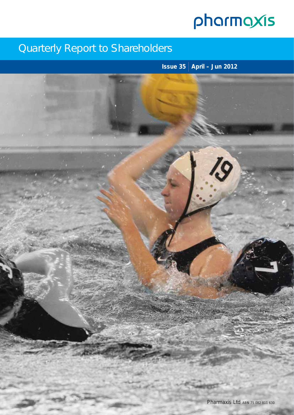# pharmaxis

## Quarterly Report to Shareholders

**Issue 35 April – Jun 2012**

19

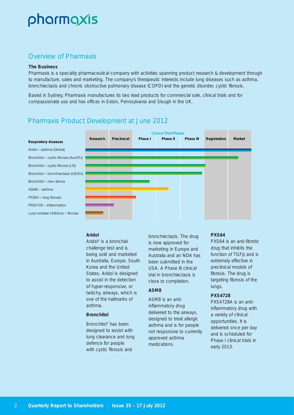# pharmaxis

## Overview of Pharmaxis

#### **The Business**

Pharmaxis is a specialty pharmaceutical company with activities spanning product research & development through to manufacture, sales and marketing. The company's therapeutic interests include lung diseases such as asthma, bronchiectasis and chronic obstructive pulmonary disease (COPD) and the genetic disorder, cystic fibrosis.

Based in Sydney, Pharmaxis manufactures its two lead products for commercial sale, clinical trials and for compassionate use and has offices in Exton, Pennsylvania and Slough in the UK.

## Pharmaxis Product Development at June 2012



#### **Aridol**

Aridol® is a bronchial challenge test and is being sold and marketed in Australia, Europe, South Korea and the United States. Aridol is designed to assist in the detection of hyper-responsive, or twitchy, airways, which is one of the hallmarks of asthma.

#### **Bronchitol**

Bronchitol® has been designed to assist with lung clearance and lung defence for people with cystic fibrosis and

bronchiectasis. The drug is now approved for marketing in Europe and Australia and an NDA has been submitted in the USA. A Phase III clinical trial in bronchiectasis is close to completion.

#### **ASM8**

ASM8 is an antiinflammatory drug delivered to the airways, designed to treat allergic asthma and is for people not responsive to currently approved asthma medications.

#### **PXS64**

PXS64 is an anti-fibrotic drug that inhibits the function of TGF $\beta$  and is extremely effective in preclinical models of fibrosis. The drug is targeting fibrosis of the lungs.

#### **PXS4728**

PXS4728A is an antiinflammatory drug with a variety of clinical opportunities. It is delivered once per day and is scheduled for Phase I clinical trials in early 2013.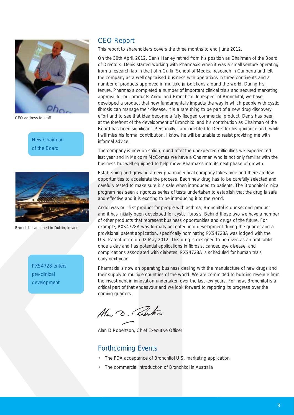

*CEO address to staff*

New Chairman of the Board



*Bronchitol launched in Dublin, Ireland*

PXS4728 enters pre-clinical development

## CEO Report

This report to shareholders covers the three months to end June 2012.

On the 30th April, 2012, Denis Hanley retired from his position as Chairman of the Board of Directors. Denis started working with Pharmaxis when it was a small venture operating from a research lab in the John Curtin School of Medical research in Canberra and left the company as a well capitalised business with operations in three continents and a number of products approved in multiple jurisdictions around the world. During his tenure, Pharmaxis completed a number of important clinical trials and secured marketing approval for our products Aridol and Bronchitol. In respect of Bronchitol, we have developed a product that now fundamentally impacts the way in which people with cystic fibrosis can manage their disease. It is a rare thing to be part of a new drug discovery effort and to see that idea become a fully fledged commercial product. Denis has been at the forefront of the development of Bronchitol and his contribution as Chairman of the Board has been significant. Personally, I am indebted to Denis for his guidance and, while I will miss his formal contribution, I know he will be unable to resist providing me with informal advice.

The company is now on solid ground after the unexpected difficulties we experienced last year and in Malcolm McComas we have a Chairman who is not only familiar with the business but well equipped to help move Pharmaxis into its next phase of growth.

Establishing and growing a new pharmaceutical company takes time and there are few opportunities to accelerate the process. Each new drug has to be carefully selected and carefully tested to make sure it is safe when introduced to patients. The Bronchitol clinical program has seen a rigorous series of tests undertaken to establish that the drug is safe and effective and it is exciting to be introducing it to the world.

Aridol was our first product for people with asthma, Bronchitol is our second product and it has initially been developed for cystic fibrosis. Behind those two we have a number of other products that represent business opportunities and drugs of the future. For example, PXS4728A was formally accepted into development during the quarter and a provisional patent application, specifically nominating PXS4728A was lodged with the U.S. Patent office on 02 May 2012. This drug is designed to be given as an oral tablet once a day and has potential applications in fibrosis, cancer, eye disease, and complications associated with diabetes. PXS4728A is scheduled for human trials early next year.

Pharmaxis is now an operating business dealing with the manufacture of new drugs and their supply to multiple countries of the world. We are committed to building revenue from the investment in innovation undertaken over the last few years. For now, Bronchitol is a critical part of that endeavour and we look forward to reporting its progress over the coming quarters.

Ala D. Roberton

Alan D Robertson, Chief Executive Officer

#### Forthcoming Events

- The FDA acceptance of Bronchitol U.S. marketing application
- The commercial introduction of Bronchitol in Australia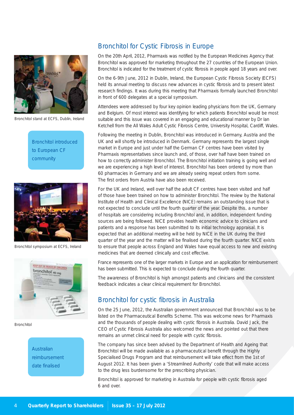

*Bronchitol stand at ECFS, Dublin, Ireland*

Bronchitol introduced to European CF community



*Bronchitol symposium at ECFS, Ireland*



*Bronchitol* 

Australian reimbursement date finalised

## Bronchitol for Cystic Fibrosis in Europe

On the 20th April, 2012, Pharmaxis was notified by the European Medicines Agency that Bronchitol was approved for marketing throughout the 27 countries of the European Union. Bronchitol is indicated for the treatment of cystic fibrosis in people aged 18 years and over.

On the 6-9th June, 2012 in Dublin, Ireland, the European Cystic Fibrosis Society (ECFS) held its annual meeting to discuss new advances in cystic fibrosis and to present latest research findings. It was during this meeting that Pharmaxis formally launched Bronchitol in front of 600 delegates at a special symposium.

Attendees were addressed by four key opinion leading physicians from the UK, Germany and Belgium. Of most interest was identifying for which patients Bronchitol would be most suitable and this issue was covered in an engaging and educational manner by Dr Ian Ketchell from the All Wales Adult Cystic Fibrosis Centre, University Hospital, Cardiff, Wales.

Following the meeting in Dublin, Bronchitol was introduced in Germany, Austria and the UK and will shortly be introduced in Denmark. Germany represents the largest single market in Europe and just under half the German CF centres have been visited by Pharmaxis representatives since launch and, of those, over half have been trained on how to correctly administer Bronchitol. The Bronchitol initiation training is going well and we are experiencing a high level of interest. Bronchitol has been ordered by more than 60 pharmacies in Germany and we are already seeing repeat orders from some. The first orders from Austria have also been received.

For the UK and Ireland, well over half the adult CF centres have been visited and half of those have been trained on how to administer Bronchitol. The review by the National Institute of Health and Clinical Excellence (NICE) remains an outstanding issue that is not expected to conclude until the fourth quarter of the year. Despite this, a number of hospitals are considering including Bronchitol and, in addition, independent funding sources are being followed. NICE provides health economic advice to clinicians and patients and a response has been submitted to its initial technology appraisal. It is expected that an additional meeting will be held by NICE in the UK during the third quarter of the year and the matter will be finalised during the fourth quarter. NICE exists to ensure that people across England and Wales have equal access to new and existing medicines that are deemed clinically and cost effective.

France represents one of the larger markets in Europe and an application for reimbursement has been submitted. This is expected to conclude during the fourth quarter.

The awareness of Bronchitol is high amongst patients and clinicians and the consistent feedback indicates a clear clinical requirement for Bronchitol.

## Bronchitol for cystic fibrosis in Australia

On the 25 June, 2012, the Australian government announced that Bronchitol was to be listed on the Pharmaceutical Benefits Scheme. This was welcome news for Pharmaxis and the thousands of people dealing with cystic fibrosis in Australia. David Jack, the CEO of Cystic Fibrosis Australia also welcomed the news and pointed out that there remains an unmet clinical need for people with cystic fibrosis.

The company has since been advised by the Department of Health and Ageing that Bronchitol will be made available as a pharmaceutical benefit through the Highly Specialised Drugs Program and that reimbursement will take effect from the 1st of August 2012. It has been given a 'Streamlined Authority' code that will make access to the drug less burdensome for the prescribing physician.

Bronchitol is approved for marketing in Australia for people with cystic fibrosis aged 6 and over.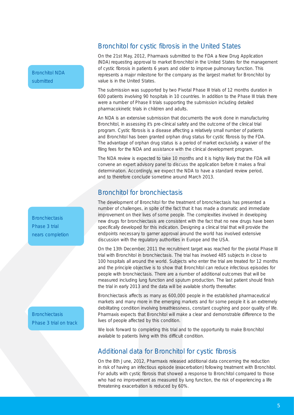Bronchitol NDA submitted

**Bronchiectasis** Phase 3 trial nears completion

**Bronchiectasis** Phase 3 trial on track

#### Bronchitol for cystic fibrosis in the United States

On the 21st May, 2012, Pharmaxis submitted to the FDA a New Drug Application (NDA) requesting approval to market Bronchitol in the United States for the management of cystic fibrosis in patients 6 years and older to improve pulmonary function. This represents a major milestone for the company as the largest market for Bronchitol by value is in the United States.

The submission was supported by two Pivotal Phase III trials of 12 months duration in 600 patients involving 90 hospitals in 10 countries. In addition to the Phase III trials there were a number of Phase II trials supporting the submission including detailed pharmacokinetic trials in children and adults.

An NDA is an extensive submission that documents the work done in manufacturing Bronchitol, in assessing it's pre-clinical safety and the outcome of the clinical trial program. Cystic fibrosis is a disease affecting a relatively small number of patients and Bronchitol has been granted orphan drug status for cystic fibrosis by the FDA. The advantage of orphan drug status is a period of market exclusivity, a waiver of the filing fees for the NDA and assistance with the clinical development program.

The NDA review is expected to take 10 months and it is highly likely that the FDA will convene an expert advisory panel to discuss the application before it makes a final determination. Accordingly, we expect the NDA to have a standard review period, and to therefore conclude sometime around March 2013.

## Bronchitol for bronchiectasis

The development of Bronchitol for the treatment of bronchiectasis has presented a number of challenges, in spite of the fact that it has made a dramatic and immediate improvement on their lives of some people. The complexities involved in developing new drugs for bronchiectasis are consistent with the fact that no new drugs have been specifically developed for this indication. Designing a clinical trial that will provide the endpoints necessary to garner approval around the world has involved extensive discussion with the regulatory authorities in Europe and the USA.

On the 13th December, 2011 the recruitment target was reached for the pivotal Phase III trial with Bronchitol in bronchiectasis. The trial has involved 485 subjects in close to 100 hospitals all around the world. Subjects who enter the trial are treated for 12 months and the principle objective is to show that Bronchitol can reduce infectious episodes for people with bronchiectasis. There are a number of additional outcomes that will be measured including lung function and sputum production. The last patient should finish the trial in early 2013 and the data will be available shortly thereafter.

Bronchiectasis affects as many as 600,000 people in the established pharmaceutical markets and many more in the emerging markets and for some people it is an extremely debilitating condition involving breathlessness, constant coughing and poor quality of life. Pharmaxis expects that Bronchitol will make a clear and demonstrable difference to the lives of people affected by this condition.

We look forward to completing this trial and to the opportunity to make Bronchitol available to patients living with this difficult condition.

## Additional data for Bronchitol for cystic fibrosis

On the 8th June, 2012, Pharmaxis released additional data concerning the reduction in risk of having an infectious episode (exacerbation) following treatment with Bronchitol. For adults with cystic fibrosis that showed a response to Bronchitol compared to those who had no improvement as measured by lung function, the risk of experiencing a life threatening exacerbation is reduced by 60%.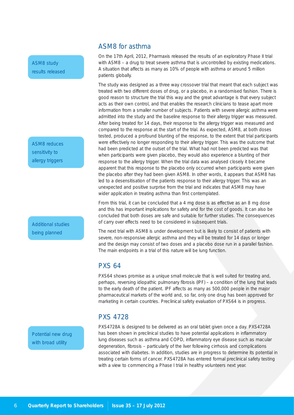ASM8 study results released

ASM8 reduces sensitivity to allergy triggers

Additional studies being planned

Potential new drug with broad utility

#### ASM8 for asthma

On the 17th April, 2012, Pharmaxis released the results of an exploratory Phase II trial with ASM8 – a drug to treat severe asthma that is uncontrolled by existing medications. A situation that affects as many as 10% of people with asthma or around 5 million patients globally.

The study was designed as a three way crossover trial that meant that each subject was treated with two different doses of drug, or a placebo, in a randomised fashion. There is good reason to structure the trial this way and the great advantage is that every subject acts as their own control, and that enables the research clinicians to tease apart more information from a smaller number of subjects. Patients with severe allergic asthma were admitted into the study and the baseline response to their allergy trigger was measured. After being treated for 14 days, their response to the allergy trigger was measured and compared to the response at the start of the trial. As expected, ASM8, at both doses tested, produced a profound blunting of the response, to the extent that trial participants were effectively no longer responding to their allergy trigger. This was the outcome that had been predicted at the outset of the trial. What had not been predicted was that when participants were given placebo, they would also experience a blunting of their response to the allergy trigger. When the trial data was analysed closely it became apparent that this response to the placebo only occurred when participants were given the placebo after they had been given ASM8. In other words, it appears that ASM8 has led to a desensitisation of the patients response to their allergy trigger. This was an unexpected and positive surprise from the trial and indicates that ASM8 may have wider application in treating asthma than first contemplated.

From this trial, it can be concluded that a 4 mg dose is as effective as an 8 mg dose and this has important implications for safety and for the cost of goods. It can also be concluded that both doses are safe and suitable for further studies. The consequences of carry over effects need to be considered in subsequent trials.

The next trial with ASM8 is under development but is likely to consist of patients with severe, non-responsive allergic asthma and they will be treated for 14 days or longer and the design may consist of two doses and a placebo dose run in a parallel fashion. The main endpoints in a trial of this nature will be lung function.

## PXS 64

PXS64 shows promise as a unique small molecule that is well suited for treating and, perhaps, reversing idiopathic pulmonary fibrosis (IPF) – a condition of the lung that leads to the early death of the patient. IPF affects as many as 500,000 people in the major pharmaceutical markets of the world and, so far, only one drug has been approved for marketing in certain countries. Preclinical safety evaluation of PXS64 is in progress.

## PXS 4728

PXS4728A is designed to be delivered as an oral tablet given once a day. PXS4728A has been shown in preclinical studies to have potential applications in inflammatory lung diseases such as asthma and COPD, inflammatory eye disease such as macular degeneration, fibrosis – particularly of the liver following cirrhosis and complications associated with diabetes. In addition, studies are in progress to determine its potential in treating certain forms of cancer. PXS4728A has entered formal preclinical safety testing with a view to commencing a Phase I trial in healthy volunteers next year.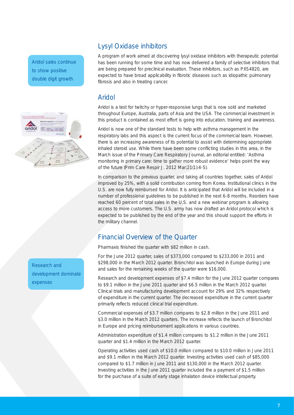Aridol sales continue to show positive double digit growth



## Lysyl Oxidase inhibitors

A program of work aimed at discovering lysyl oxidase inhibitors with therapeutic potential has been running for some time and has now delivered a family of selective inhibitors that are being prepared for preclinical evaluation. These inhibitors, such as PXS4820, are expected to have broad applicability in fibrotic diseases such as idiopathic pulmonary fibrosis and also in treating cancer.

## Aridol

Aridol is a test for twitchy or hyper-responsive lungs that is now sold and marketed throughout Europe, Australia, parts of Asia and the USA. The commercial investment in this product is contained as most effort is going into education, training and awareness.

Aridol is now one of the standard tests to help with asthma management in the respiratory labs and this aspect is the current focus of the commercial team. However, there is an increasing awareness of its potential to assist with determining appropriate inhaled steroid use. While there have been some conflicting studies in this area, in the March issue of the Primary Care Respiratory Journal, an editorial entitled: 'Asthma monitoring in primary care: time to gather more robust evidence' helps point the way of the future (Prim Care Respir J. 2012 Mar;21(1):4-5).

In comparison to the previous quarter, and taking all countries together, sales of Aridol improved by 25%, with a solid contribution coming from Korea. Institutional clinics in the U.S. are now fully reimbursed for Aridol. It is anticipated that Aridol will be included in a number of professional guidelines to be published in the next 6-8 months. Reorders have reached 60 percent of total sales in the U.S. and a new webinar program is allowing access to more customers. The U.S. army has now drafted an Aridol protocol which is expected to be published by the end of the year and this should support the efforts in the military channel.

## Financial Overview of the Quarter

Pharmaxis finished the quarter with \$82 million in cash.

For the June 2012 quarter, sales of \$373,000 compared to \$233,000 in 2011 and \$298,000 in the March 2012 quarter. Bronchitol was launched in Europe during June and sales for the remaining weeks of the quarter were \$16,000.

Research and development expenses of \$7.4 million for the June 2012 quarter compares to \$9.1 million in the June 2011 quarter and \$6.5 million in the March 2012 quarter. Clinical trials and manufacturing development account for 29% and 32% respectively of expenditure in the current quarter. The decreased expenditure in the current quarter primarily reflects reduced clinical trial expenditure.

Commercial expenses of \$3.7 million compares to \$2.8 million in the June 2011 and \$3.0 million in the March 2012 quarters. The increase reflects the launch of Bronchitol in Europe and pricing reimbursement applications in various countries.

Administration expenditure of \$1.4 million compares to \$1.2 million in the June 2011 quarter and \$1.4 million in the March 2012 quarter.

Operating activities used cash of \$10.0 million compared to \$10.0 million in June 2011 and \$9.1 million in the March 2012 quarter. Investing activities used cash of \$85,000 compared to \$1.7 million in June 2011 and \$130,000 in the March 2012 quarter. Investing activities in the June 2011 quarter included the a payment of \$1.5 million for the purchase of a suite of early stage inhalation device intellectual property.

Research and development dominate expenses